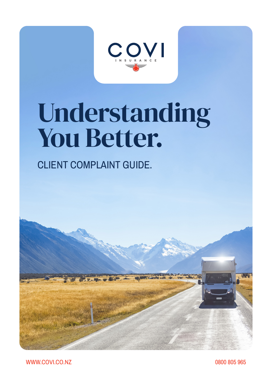

# Understanding You Better.

## CLIENT COMPLAINT GUIDE.



WWW.COVI.CO.NZ 0800 805 965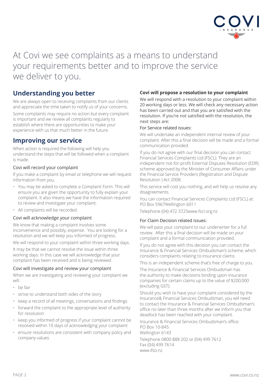

### At Covi we see complaints as a means to understand your requirements better and to improve the service we deliver to you.

#### **Understanding you better**

We are always open to receiving complaints from our clients and appreciate the time taken to notify us of your concerns. Some complaints may require no action but every complaint is important and we review all complaints regularly to establish where there are opportunities to make your experience with us that much better in the future.

#### **Improving our service**

When action is required the following will help you understand the steps that will be followed when a complaint is made.

#### Covi will record your complaint

If you make a complaint by email or telephone we will request information from you.

- You may be asked to complete a Complaint Form. This will ensure you are given the opportunity to fully explain your complaint. It also means we have the information required to review and investigate your complaint.
- All complaints will be recorded.

#### Covi will acknowledge your complaint

We know that making a complaint involves some inconvenience and possibly, expense. You are looking for a resolution and we will keep you informed of progress.

We will respond to your complaint within three working days.

It may be that we cannot resolve the issue within three working days. In this case we will acknowledge that your complaint has been received and is being reviewed.

#### Covi will investigate and review your complaint

When we are investigating and reviewing your complaint we will:

- be fair
- strive to understand both sides of the story
- keep a record of all meetings, conversations and findings
- forward the complaint to the appropriate level of authority for resolution
- keep you informed of progress if your complaint cannot be resolved within 10 days of acknowledging your complaint
- ensure resolutions are consistent with company policy and company values

#### **Covi will propose a resolution to your complaint**

We will respond with a resolution to your complaint within 20 working days or less. We will check any necessary action has been carried out and that you are satisfied with the resolution. If you're not satisfied with the resolution, the next steps are:

#### For Service related issues:

We will undertake an independent internal review of your complaint. After this a final decision will be made and a formal communication provided.

If you do not agree with our final decision you can contact Financial Services Complaints Ltd (FSCL). They are an independent not-for-profit External Disputes Resolution (EDR) scheme approved by the Minister of Consumer Affairs under the Financial Service Providers (Registration and Dispute Resolution ) Act 2008.

This service will cost you nothing, and will help us resolve any disagreements.

You can contact Financial Services Complaints Ltd (FSCL) at: PO Box 5967Wellington 6011

Telephone (04) 472 3725www.fscl.org.nz

#### For Claim Decision related issues:

We will pass your complaint to our underwriter for a full review. After this a final decision will be made on your complaint and a formal communication provided.

If you do not agree with this decision you can contact the Insurance & Financial Services Ombudsman's scheme, which considers complaints relating to insurance claims.

This is an independent scheme that's free of charge to you.

The Insurance & Financial Services Ombudsman has the authority to make decisions binding upon insurance companies for certain claims up to the value of \$200,000 (excluding GST).

Should you wish to have your complaint considered by the Insurance& Financial Services Ombudsman, you will need to contact the Insurance & Financial Services Ombudsman's office no later than three months after we inform you that deadlock has been reached with your complaint.

Insurance & Financial Services Ombudsman's office: PO Box 10-845 Wellington 6143

Telephone 0800 888 202 or (04) 499 7612 Fax (04) 499 7614 www.ifso.nz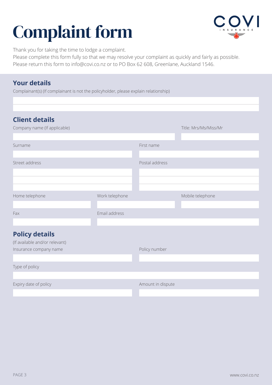## Complaint form



Thank you for taking the time to lodge a complaint.

Please complete this form fully so that we may resolve your complaint as quickly and fairly as possible. Please return this form to info@covi.co.nz or to PO Box 62 608, Greenlane, Auckland 1546.

#### **Your details**

Complainant(s) (If complainant is not the policyholder, please explain relationship)

| <b>Client details</b><br>Company name (If applicable) |                |                   | Title: Mrs/Ms/Miss/Mr |
|-------------------------------------------------------|----------------|-------------------|-----------------------|
|                                                       |                |                   |                       |
| Surname                                               |                | First name        |                       |
|                                                       |                |                   |                       |
| Street address                                        |                | Postal address    |                       |
|                                                       |                |                   |                       |
|                                                       |                |                   |                       |
|                                                       |                |                   |                       |
| Home telephone                                        | Work telephone |                   | Mobile telephone      |
|                                                       |                |                   |                       |
| Fax                                                   | Email address  |                   |                       |
|                                                       |                |                   |                       |
| <b>Policy details</b>                                 |                |                   |                       |
| (If available and/or relevant)                        |                |                   |                       |
| Insurance company name                                |                | Policy number     |                       |
|                                                       |                |                   |                       |
| Type of policy                                        |                |                   |                       |
|                                                       |                |                   |                       |
| Expiry date of policy                                 |                | Amount in dispute |                       |
|                                                       |                |                   |                       |